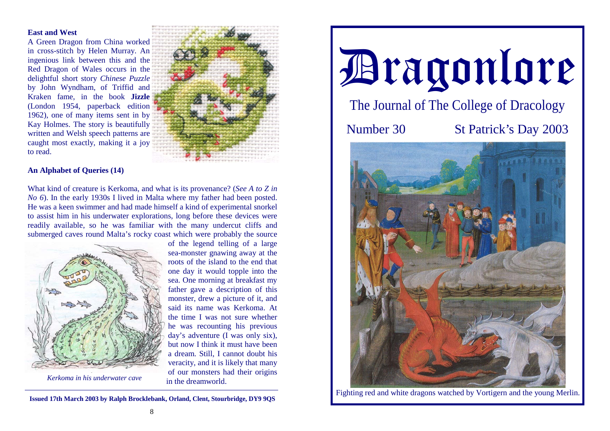## **East and West**

A Green Dragon from China worked in cross-stitch by Helen Murray. An ingenious link between this and the Red Dragon of Wales occurs in the delightful short story *Chinese Puzzle* by John Wyndham, of Triffid and Kraken fame, in the book **Jizzle** (London 1954, paperback edition 1962), one of many items sent in by Kay Holmes. The story is beautifully written and Welsh speech patterns are caught most exactly, making it a joy to read.



## **An Alphabet of Queries (14)**

What kind of creature is Kerkoma, and what is its provenance? (*See A to Z in No 6*). In the early 1930s I lived in Malta where my father had been posted. He was a keen swimmer and had made himself a kind of experimental snorkel to assist him in his underwater explorations, long before these devices were readily available, so he was familiar with the many undercut cliffs and submerged caves round Malta's rocky coast which were probably the source



of the legend telling of a large sea-monster gnawing away at the roots of the island to the end that one day it would topple into the sea. One morning at breakfast my father gave a description of this monster, drew a picture of it, and said its name was Kerkoma. At the time I was not sure whether he was recounting his previous day's adventure (I was only six), but now I think it must have been a dream. Still, I cannot doubt his veracity, and it is likely that many of our monsters had their origins in the dreamworld.

*Kerkoma in his underwater cave* 

**Issued 17th March 2003 by Ralph Brocklebank, Orland, Clent, Stourbridge, DY9 9QS** 



Fighting red and white dragons watched by Vortigern and the young Merlin.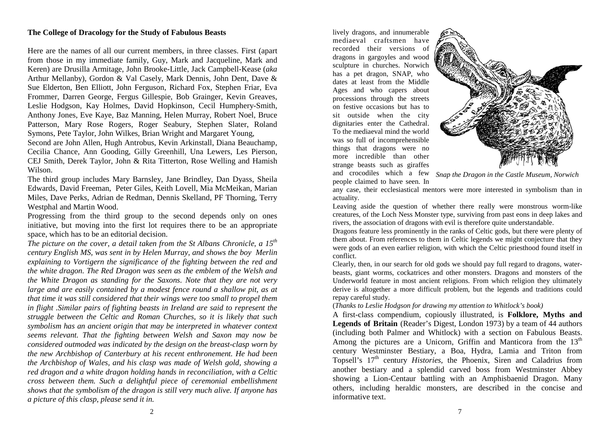## **The College of Dracology for the Study of Fabulous Beasts**

Here are the names of all our current members, in three classes. First (apart from those in my immediate family, Guy, Mark and Jacqueline, Mark and Keren) are Drusilla Armitage, John Brooke-Little, Jack Campbell-Kease (*aka* Arthur Mellanby), Gordon & Val Casely, Mark Dennis, John Dent, Dave & Sue Elderton, Ben Elliott, John Ferguson, Richard Fox, Stephen Friar, Eva Frommer, Darren George, Fergus Gillespie, Bob Grainger, Kevin Greaves, Leslie Hodgson, Kay Holmes, David Hopkinson, Cecil Humphery-Smith, Anthony Jones, Eve Kaye, Baz Manning, Helen Murray, Robert Noel, Bruce Patterson, Mary Rose Rogers, Roger Seabury, Stephen Slater, Roland Symons, Pete Taylor, John Wilkes, Brian Wright and Margaret Young,

Second are John Allen, Hugh Antrobus, Kevin Arkinstall, Diana Beauchamp, Cecilia Chance, Ann Gooding, Gilly Greenhill, Una Lewers, Les Pierson, CEJ Smith, Derek Taylor, John & Rita Titterton, Rose Welling and Hamish Wilson.

The third group includes Mary Barnsley, Jane Brindley, Dan Dyass, Sheila Edwards, David Freeman, Peter Giles, Keith Lovell, Mia McMeikan, Marian Miles, Dave Perks, Adrian de Redman, Dennis Skelland, PF Thorning, Terry Westphal and Martin Wood.

Progressing from the third group to the second depends only on ones initiative, but moving into the first lot requires there to be an appropriate space, which has to be an editorial decision.

*The picture on the cover, a detail taken from the St Albans Chronicle, a 15th century English MS, was sent in by Helen Murray, and shows the boy Merlin explaining to Vortigern the significance of the fighting between the red and the white dragon. The Red Dragon was seen as the emblem of the Welsh and the White Dragon as standing for the Saxons. Note that they are not very large and are easily contained by a modest fence round a shallow pit, as at that time it was still considered that their wings were too small to propel them in flight .Similar pairs of fighting beasts in Ireland are said to represent the struggle between the Celtic and Roman Churches, so it is likely that such symbolism has an ancient origin that may be interpreted in whatever context seems relevant. That the fighting between Welsh and Saxon may now be considered outmoded was indicated by the design on the breast-clasp worn by the new Archbishop of Canterbury at his recent enthronement. He had been the Archbishop of Wales, and his clasp was made of Welsh gold, showing a red dragon and a white dragon holding hands in reconciliation, with a Celtic cross between them. Such a delightful piece of ceremonial embellishment shows that the symbolism of the dragon is still very much alive. If anyone has a picture of this clasp, please send it in.* 

lively dragons, and innumerable mediaeval craftsmen have recorded their versions of dragons in gargoyles and wood sculpture in churches. Norwich has a pet dragon, SNAP, who dates at least from the Middle Ages and who capers about processions through the streets on festive occasions but has to sit outside when the city dignitaries enter the Cathedral. To the mediaeval mind the world was so full of incomprehensible things that dragons were no more incredible than other strange beasts such as giraffes and crocodiles which a few people claimed to have seen. In



*Snap the Dragon in the Castle Museum, Norwich* 

any case, their ecclesiastical mentors were more interested in symbolism than in actuality.

Leaving aside the question of whether there really were monstrous worm-like creatures, of the Loch Ness Monster type, surviving from past eons in deep lakes and rivers, the association of dragons with evil is therefore quite understandable.

Dragons feature less prominently in the ranks of Celtic gods, but there were plenty of them about. From references to them in Celtic legends we might conjecture that they were gods of an even earlier religion, with which the Celtic priesthood found itself in conflict.

Clearly, then, in our search for old gods we should pay full regard to dragons, waterbeasts, giant worms, cockatrices and other monsters. Dragons and monsters of the Underworld feature in most ancient religions. From which religion they ultimately derive is altogether a more difficult problem, but the legends and traditions could repay careful study.

(*Thanks to Leslie Hodgson for drawing my attention to Whitlock's book)*

A first-class compendium, copiously illustrated, is **Folklore, Myths and Legends of Britain** (Reader's Digest, London 1973) by a team of 44 authors (including both Palmer and Whitlock) with a section on Fabulous Beasts. Among the pictures are a Unicorn, Griffin and Manticora from the  $13<sup>th</sup>$ century Westminster Bestiary, a Boa, Hydra, Lamia and Triton from Topsell's 17<sup>th</sup> century *Histories*, the Phoenix, Siren and Caladrius from another bestiary and a splendid carved boss from Westminster Abbey showing a Lion-Centaur battling with an Amphisbaenid Dragon. Many others, including heraldic monsters, are described in the concise and informative text.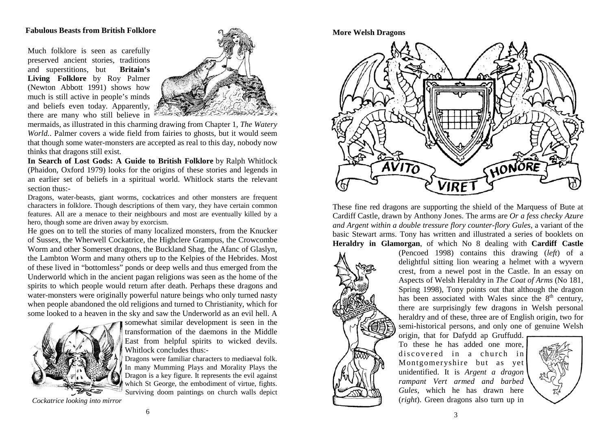## **Fabulous Beasts from British Folklore**

Much folklore is seen as carefully preserved ancient stories, traditions and superstitions, but **Britain's Living Folklore** by Roy Palmer (Newton Abbott 1991) shows how much is still active in people's minds and beliefs even today. Apparently, there are many who still believe in



mermaids, as illustrated in this charming drawing from Chapter 1, *The Watery World.*. Palmer covers a wide field from fairies to ghosts, but it would seem that though some water-monsters are accepted as real to this day, nobody now thinks that dragons still exist.

**In Search of Lost Gods: A Guide to British Folklore** by Ralph Whitlock (Phaidon, Oxford 1979) looks for the origins of these stories and legends in an earlier set of beliefs in a spiritual world. Whitlock starts the relevant section thus:-

Dragons, water-beasts, giant worms, cockatrices and other monsters are frequent characters in folklore. Though descriptions of them vary, they have certain common features. All are a menace to their neighbours and most are eventually killed by a hero, though some are driven away by exorcism.

He goes on to tell the stories of many localized monsters, from the Knucker of Sussex, the Wherwell Cockatrice, the Highclere Grampus, the Crowcombe Worm and other Somerset dragons, the Buckland Shag, the Afanc of Glaslyn, the Lambton Worm and many others up to the Kelpies of the Hebrides. Most of these lived in "bottomless" ponds or deep wells and thus emerged from the Underworld which in the ancient pagan religions was seen as the home of the spirits to which people would return after death. Perhaps these dragons and water-monsters were originally powerful nature beings who only turned nasty when people abandoned the old religions and turned to Christianity, which for some looked to a heaven in the sky and saw the Underworld as an evil hell. A



somewhat similar development is seen in the transformation of the daemons in the Middle East from helpful spirits to wicked devils. Whitlock concludes thus:-

Dragons were familiar characters to mediaeval folk. In many Mumming Plays and Morality Plays the Dragon is a key figure. It represents the evil against which St George, the embodiment of virtue, fights. Surviving doom paintings on church walls depict

*Cockatrice looking into mirror* 

**More Welsh Dragons**



These fine red dragons are supporting the shield of the Marquess of Bute at Cardiff Castle, drawn by Anthony Jones. The arms are *Or a fess checky Azure and Argent within a double tressure flory counter-flory Gules,* a variant of the basic Stewart arms. Tony has written and illustrated a series of booklets on **Heraldry in Glamorgan**, of which No 8 dealing with **Cardiff Castle**



(Pencoed 1998) contains this drawing (*left*) of a delightful sitting lion wearing a helmet with a wyvern crest, from a newel post in the Castle. In an essay on Aspects of Welsh Heraldry in *The Coat of Arms* (No 181, Spring 1998), Tony points out that although the dragon has been associated with Wales since the  $8<sup>th</sup>$  century, there are surprisingly few dragons in Welsh personal heraldry and of these, three are of English origin, two for semi-historical persons, and only one of genuine Welsh

origin, that for Dafydd ap Gruffudd. To these he has added one more, discovered in a church in Montgomeryshire but as yet unidentified. It is *Argent a dragon rampant Vert armed and barbed Gules,* which he has drawn here (*right*). Green dragons also turn up in